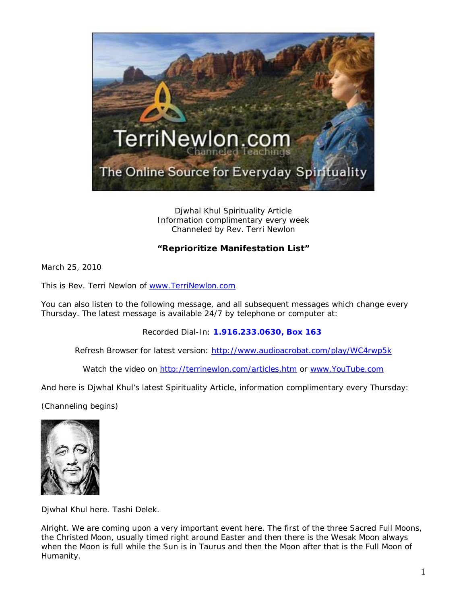

Djwhal Khul Spirituality Article Information complimentary every week Channeled by Rev. Terri Newlon

## **"Reprioritize Manifestation List"**

March 25, 2010

This is Rev. Terri Newlon of [www.TerriNewlon.com](http://www.terrinewlon.com/)

You can also listen to the following message, and all subsequent messages which change every Thursday. The latest message is available 24/7 by telephone or computer at:

Recorded Dial-In: **1.916.233.0630, Box 163**

Refresh Browser for latest version: <http://www.audioacrobat.com/play/WC4rwp5k>

Watch the video on<http://terrinewlon.com/articles.htm> or [www.YouTube.com](http://www.youtube.com/)

And here is Djwhal Khul's latest Spirituality Article, information complimentary every Thursday:

(Channeling begins)



Djwhal Khul here. Tashi Delek.

Alright. We are coming upon a very important event here. The first of the three Sacred Full Moons, the Christed Moon, usually timed right around Easter and then there is the Wesak Moon always when the Moon is full while the Sun is in Taurus and then the Moon after that is the Full Moon of Humanity.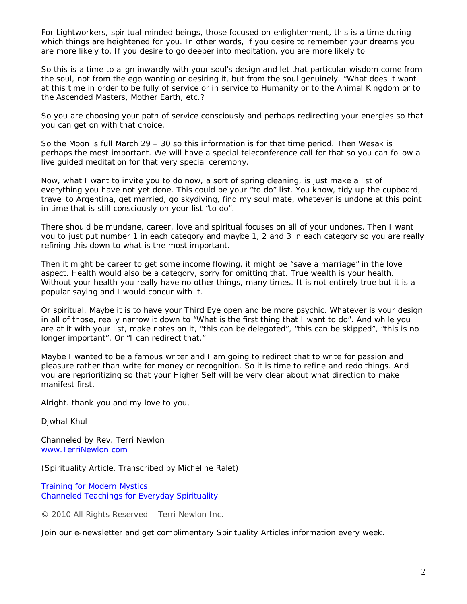For Lightworkers, spiritual minded beings, those focused on enlightenment, this is a time during which things are heightened for you. In other words, if you desire to remember your dreams you are more likely to. If you desire to go deeper into meditation, you are more likely to.

So this is a time to align inwardly with your soul's design and let that particular wisdom come from the soul, not from the ego wanting or desiring it, but from the soul genuinely. "What does it want at this time in order to be fully of service or in service to Humanity or to the Animal Kingdom or to the Ascended Masters, Mother Earth, etc.?

So you are choosing your path of service consciously and perhaps redirecting your energies so that you can get on with that choice.

So the Moon is full March 29 – 30 so this information is for that time period. Then Wesak is perhaps the most important. We will have a special teleconference call for that so you can follow a live guided meditation for that very special ceremony.

Now, what I want to invite you to do now, a sort of spring cleaning, is just make a list of everything you have not yet done. This could be your "to do" list. You know, tidy up the cupboard, travel to Argentina, get married, go skydiving, find my soul mate, whatever is undone at this point in time that is still consciously on your list "to do".

There should be mundane, career, love and spiritual focuses on all of your undones. Then I want you to just put number 1 in each category and maybe 1, 2 and 3 in each category so you are really refining this down to what is the most important.

Then it might be career to get some income flowing, it might be "save a marriage" in the love aspect. Health would also be a category, sorry for omitting that. True wealth is your health. Without your health you really have no other things, many times. It is not entirely true but it is a popular saying and I would concur with it.

Or spiritual. Maybe it is to have your Third Eye open and be more psychic. Whatever is your design in all of those, really narrow it down to "What is the first thing that I want to do". And while you are at it with your list, make notes on it, "this can be delegated", "this can be skipped", "this is no longer important". Or "I can redirect that."

Maybe I wanted to be a famous writer and I am going to redirect that to write for passion and pleasure rather than write for money or recognition. So it is time to refine and redo things. And you are reprioritizing so that your Higher Self will be very clear about what direction to make manifest first.

Alright. thank you and my love to you,

Djwhal Khul

Channeled by Rev. Terri Newlon [www.TerriNewlon.com](http://www.terrinewlon.com/)

(Spirituality Article, Transcribed by Micheline Ralet)

Training for Modern Mystics [Channeled Teachings for Everyday Spirituality](http://www.terrinewlon.com/)

© 2010 All Rights Reserved – Terri Newlon Inc.

Join our e-newsletter and get complimentary Spirituality Articles information every week.